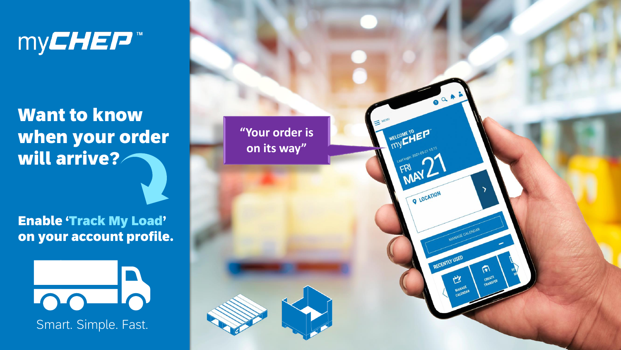Want to know when your order will arrive?

Enable 'Track My Load' on your account profile.

Smart. Simple. Fast.

**"Your order is on its way"**

oat

O LOCATION

RECENTLY USED

些

 $\mathbf{F}$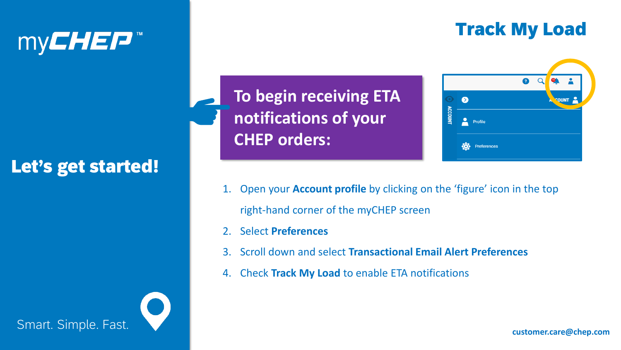#### Track My Load



#### Let's get started!

Smart. Simple. Fast.

### **To begin receiving ETA notifications of your CHEP orders:**

- 1. Open your **Account profile** by clicking on the 'figure' icon in the top right-hand corner of the myCHEP screen
- 2. Select **Preferences**
- 3. Scroll down and select **Transactional Email Alert Preferences**
- 4. Check **Track My Load** to enable ETA notifications

#### **customer.care@chep.com**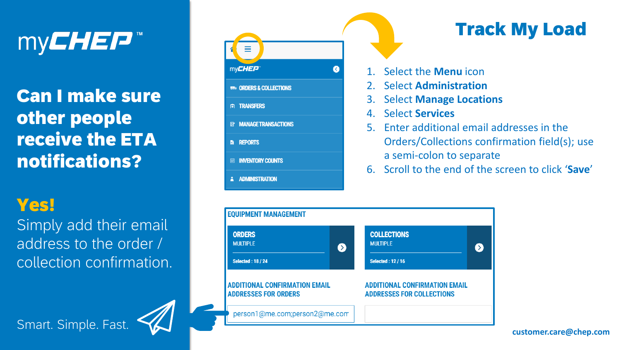Can I make sure other people receive the ETA notifications?

#### Yes!

Simply add their email address to the order / collection confirmation.

Smart. Simple. Fast.



### Track My Load

- 1. Select the **Menu** icon
- 2. Select **Administration**
- 3. Select **Manage Locations**
- 4. Select **Services**
- 5. Enter additional email addresses in the Orders/Collections confirmation field(s); use a semi-colon to separate
- 6. Scroll to the end of the screen to click '**Save**'



**customer.care@chep.com**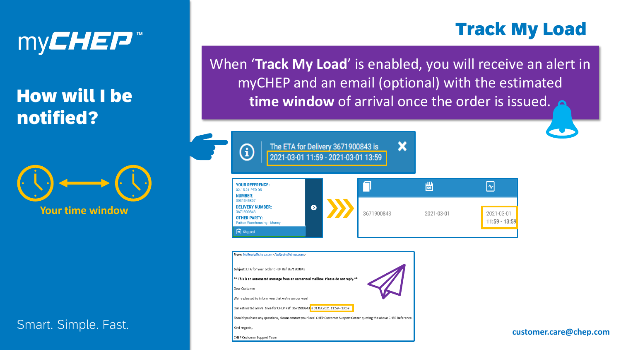### myCHEP™

### How will I be notified?

**Your time window**

#### Smart. Simple. Fast.

Track My Load

When '**Track My Load**' is enabled, you will receive an alert in myCHEP and an email (optional) with the estimated **time window** of arrival once the order is issued.

 $\boldsymbol{\mathsf{x}}$ 

圖 **YOUR REFERENCE:** ∣∼∣ 02.15.21 PED 05 **NUMBER:** 3031345807 **DELIVERY NUMBER:** 3671900843 3671900843 2021-03-01 2021-03-01 **OTHER PARTY:** 11:59 - 13:59 Patton Warehousing - Muncy  $\boxed{\rightarrow}$  Shipped

From: NoReply@chep.com <NoReply@chep.com> Subject: ETA for your order CHEP Ref 3671900843 \*\* This is an automated message from an unmanned mailbox. Please do not reply.\*\* Dear Custome We're pleased to inform you that we're on our way Our estimated arrival time for CHEP Ref: 3671900843 is 01.03.2021 11:59 - 13:59

The ETA for Delivery 3671900843 is

2021-03-01 11:59 - 2021-03-01 13:59

Should you have any questions, please contact your local CHEP Customer Support Center quoting the above CHEP Reference.

Kind regards,

G

**CHEP Customer Support Team**